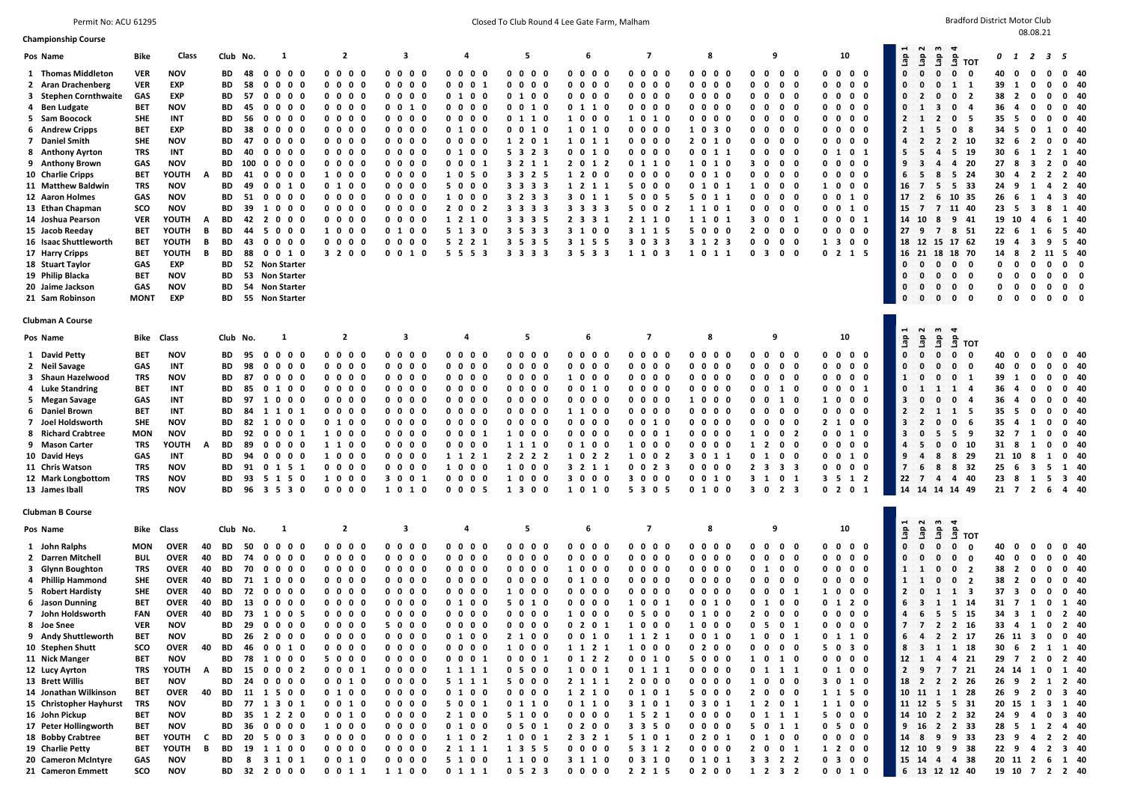Permit No: ACU 61295 **Closed To Club Round 4 Lee Gate Farm, Malham** Bradford District Motor Club Round 4 Lee Gate Farm, Malham Bradford District Motor Club

| <b>Championship Course</b><br>Pos Name<br>1 Thomas Middleton<br>2 Aran Drachenberg                                                                                                                                                                                                                                                                                                                                                           | <b>Bike</b><br><b>VER</b><br><b>VER</b>                                                                                                                                             | Class<br><b>NOV</b>                                                                                                                                                                                                                                                                     |                                                               | Club No.                                                                                                                                                                           |                                                                                                     | -1                                                                                                                                                                                                                                                                                                                                                                                                                        |                                                                                                                                                                                                                                                    |                                                                                                                                                                                                                                          |                                                                                                                                                                                                                                     |                                                                                                                                                                                                             |                                                                                                                                                                                                                                                                                                                                              |                                                                                                                                                                                                                                            |                                                                                       |                                                                                                                                                                                                                                                                                                           |                                        |                                                                                                                                                                                                                                                |                                                                                                                                |                                                                 |                                                                                                                                                                                                                                                                                          |                                                                                                                                            |                                                                                                                                                                                                                            |                                                                                                                                                                                          |                                      |                                                                                                                                                                                                                                                         |                                                                                                                                                            |                                                                                                                                                                                                                                  |                                                                                                                                                                                                                                                 |                                                                    |                                                                                                                      |                                                                                                                                                                                                                                 |                                                                                                                                  |                                                                                                                                                                                | $\sim$                                                                                                                                                                                                                                 | w<br>₹                                                                                                                                                                                                                                                                                                                                                                                       |                                                                                                                                                                                     | 0                                                                                                                                                           |                                                                                                                                                                                                                                                                                                                                                                                                                      | 1 2 3 5                                                                                                                                                                                         |                                                                                                                                                                                                                               |  |
|----------------------------------------------------------------------------------------------------------------------------------------------------------------------------------------------------------------------------------------------------------------------------------------------------------------------------------------------------------------------------------------------------------------------------------------------|-------------------------------------------------------------------------------------------------------------------------------------------------------------------------------------|-----------------------------------------------------------------------------------------------------------------------------------------------------------------------------------------------------------------------------------------------------------------------------------------|---------------------------------------------------------------|------------------------------------------------------------------------------------------------------------------------------------------------------------------------------------|-----------------------------------------------------------------------------------------------------|---------------------------------------------------------------------------------------------------------------------------------------------------------------------------------------------------------------------------------------------------------------------------------------------------------------------------------------------------------------------------------------------------------------------------|----------------------------------------------------------------------------------------------------------------------------------------------------------------------------------------------------------------------------------------------------|------------------------------------------------------------------------------------------------------------------------------------------------------------------------------------------------------------------------------------------|-------------------------------------------------------------------------------------------------------------------------------------------------------------------------------------------------------------------------------------|-------------------------------------------------------------------------------------------------------------------------------------------------------------------------------------------------------------|----------------------------------------------------------------------------------------------------------------------------------------------------------------------------------------------------------------------------------------------------------------------------------------------------------------------------------------------|--------------------------------------------------------------------------------------------------------------------------------------------------------------------------------------------------------------------------------------------|---------------------------------------------------------------------------------------|-----------------------------------------------------------------------------------------------------------------------------------------------------------------------------------------------------------------------------------------------------------------------------------------------------------|----------------------------------------|------------------------------------------------------------------------------------------------------------------------------------------------------------------------------------------------------------------------------------------------|--------------------------------------------------------------------------------------------------------------------------------|-----------------------------------------------------------------|------------------------------------------------------------------------------------------------------------------------------------------------------------------------------------------------------------------------------------------------------------------------------------------|--------------------------------------------------------------------------------------------------------------------------------------------|----------------------------------------------------------------------------------------------------------------------------------------------------------------------------------------------------------------------------|------------------------------------------------------------------------------------------------------------------------------------------------------------------------------------------|--------------------------------------|---------------------------------------------------------------------------------------------------------------------------------------------------------------------------------------------------------------------------------------------------------|------------------------------------------------------------------------------------------------------------------------------------------------------------|----------------------------------------------------------------------------------------------------------------------------------------------------------------------------------------------------------------------------------|-------------------------------------------------------------------------------------------------------------------------------------------------------------------------------------------------------------------------------------------------|--------------------------------------------------------------------|----------------------------------------------------------------------------------------------------------------------|---------------------------------------------------------------------------------------------------------------------------------------------------------------------------------------------------------------------------------|----------------------------------------------------------------------------------------------------------------------------------|--------------------------------------------------------------------------------------------------------------------------------------------------------------------------------|----------------------------------------------------------------------------------------------------------------------------------------------------------------------------------------------------------------------------------------|----------------------------------------------------------------------------------------------------------------------------------------------------------------------------------------------------------------------------------------------------------------------------------------------------------------------------------------------------------------------------------------------|-------------------------------------------------------------------------------------------------------------------------------------------------------------------------------------|-------------------------------------------------------------------------------------------------------------------------------------------------------------|----------------------------------------------------------------------------------------------------------------------------------------------------------------------------------------------------------------------------------------------------------------------------------------------------------------------------------------------------------------------------------------------------------------------|-------------------------------------------------------------------------------------------------------------------------------------------------------------------------------------------------|-------------------------------------------------------------------------------------------------------------------------------------------------------------------------------------------------------------------------------|--|
|                                                                                                                                                                                                                                                                                                                                                                                                                                              |                                                                                                                                                                                     |                                                                                                                                                                                                                                                                                         |                                                               |                                                                                                                                                                                    |                                                                                                     |                                                                                                                                                                                                                                                                                                                                                                                                                           |                                                                                                                                                                                                                                                    |                                                                                                                                                                                                                                          | $\overline{2}$                                                                                                                                                                                                                      |                                                                                                                                                                                                             | 3                                                                                                                                                                                                                                                                                                                                            |                                                                                                                                                                                                                                            |                                                                                       | 4                                                                                                                                                                                                                                                                                                         |                                        |                                                                                                                                                                                                                                                | 5                                                                                                                              |                                                                 |                                                                                                                                                                                                                                                                                          | 6                                                                                                                                          | 7                                                                                                                                                                                                                          |                                                                                                                                                                                          |                                      | 8                                                                                                                                                                                                                                                       |                                                                                                                                                            |                                                                                                                                                                                                                                  | 9                                                                                                                                                                                                                                               |                                                                    |                                                                                                                      | 10                                                                                                                                                                                                                              |                                                                                                                                  | 9E                                                                                                                                                                             |                                                                                                                                                                                                                                        |                                                                                                                                                                                                                                                                                                                                                                                              |                                                                                                                                                                                     |                                                                                                                                                             |                                                                                                                                                                                                                                                                                                                                                                                                                      |                                                                                                                                                                                                 |                                                                                                                                                                                                                               |  |
| 3 Stephen Cornthwaite<br>4 Ben Ludgate<br>5 Sam Boocock<br>6 Andrew Cripps<br>7 Daniel Smith<br>8 Anthony Ayrton<br>9 Anthony Brown<br>10 Charlie Cripps<br>11 Matthew Baldwin<br>12 Aaron Holmes<br>13 Ethan Chapman<br>14 Joshua Pearson<br>15 Jacob Reeday<br>16 Isaac Shuttleworth<br>17 Harry Cripps<br>18 Stuart Taylor<br>19 Philip Blacka<br>20 Jaime Jackson<br>21 Sam Robinson                                                     | GAS<br>BET<br><b>SHE</b><br>BET<br><b>SHE</b><br>TRS<br>GAS<br>BET<br><b>TRS</b><br>GAS<br>sco<br><b>VER</b><br>BET<br><b>BET</b><br><b>BET</b><br>GAS<br>BET<br>GAS<br><b>MONT</b> | EXP<br>EXP<br><b>NOV</b><br>INT<br>EXP<br><b>NOV</b><br><b>INT</b><br><b>NOV</b><br>YOUTH<br><b>NOV</b><br><b>NOV</b><br><b>NOV</b><br>YOUTH<br>YOUTH<br>YOUTH<br>YOUTH<br>EXP<br><b>NOV</b><br><b>NOV</b><br>EXP                                                                       | A<br>A<br>В<br>в<br>B                                         | BD<br>BD<br><b>BD</b><br>BD<br>BD<br>BD<br>BD<br><b>BD</b><br>BD<br>BD<br>BD<br>BD<br><b>BD</b><br><b>BD</b><br><b>BD</b><br><b>BD</b><br><b>BD</b><br><b>BD</b><br>BD<br>BD<br>BD | 48<br>58<br>57<br>45<br>56<br>38<br>47<br>40<br>100<br>41<br>49<br>51<br>39<br>42<br>44<br>43<br>88 | 0<br>$\mathbf 0$<br>$\mathbf{o}$<br>$\mathbf 0$<br>$0\quad 0\quad 0\quad 0$<br>$\mathbf{o}$<br>$\mathbf 0$<br>$\mathbf 0$<br>$0\quad 0$<br>$\mathbf{o}$<br>$\mathbf{0}$<br>$\mathbf{o}$<br>$\mathbf{o}$<br>0<br>$\mathbf{o}$<br>$\mathbf{0}$<br>$\mathbf 0$<br>1000<br>2 0<br>- 5<br>$\mathbf{o}$<br>$\mathbf{0}$<br>$\mathbf{o}$<br>$\mathbf{0}$<br>52 Non Starter<br>53 Non Starter<br>54 Non Starter<br>55 Non Starter | 0<br>- 0<br>$\mathbf 0$<br>- 0<br>0<br>- 0<br>$0\quad 0\quad 0$<br>0 <sub>0</sub><br>$0\quad 0$<br>$0\quad 0\quad 0$<br>$0\quad 0\quad 0$<br>$0\quad 0\quad 0$<br>10<br>$0\,$ $0\,$ $0\,$<br>0<br>- 0<br>$0\quad 0\quad 0$<br>0 <sub>0</sub><br>10 | $0\quad 0$<br>$0\quad 0$<br>0 <sub>0</sub><br>0 <sub>0</sub><br>$0\quad 0$<br>$0\quad 0$<br>0 <sub>0</sub><br>$0\quad 0$<br>0 <sub>0</sub><br>10<br>0 <sub>1</sub><br>$0\quad 0$<br>0 <sub>0</sub><br>0 <sub>0</sub><br>10<br>$0\quad 0$ | $\mathbf 0$<br>$\mathbf 0$<br>$\mathbf 0$<br>3 2 0 0                                                                                                                                                                                | - 0<br>- 0<br>$0\quad 0$<br>0 <sub>0</sub><br>$0\quad 0$<br>$0\quad 0$<br>$0\quad 0$<br>$0\quad 0$<br>$0\quad 0$<br>$0\quad 0$<br>$0\quad 0$<br>$0\quad 0$<br>$0\quad 0$<br>$0\quad 0$<br>$0\quad 0$<br>- 0 | $0\quad 0$<br>0<br>0<br>$0\quad 0$<br>$\mathbf{o}$<br>0<br>$0\quad 0$<br>$0\quad 0$<br>$0\quad 0$<br>$\mathbf{0}$<br>$\mathbf 0$<br>0<br>0<br>$0\quad 0$<br>$0\quad 0$<br>$0\quad 0$<br>$0\quad 0$<br>0<br>0<br>0 <sub>1</sub><br>$0\quad 0$<br>$0\quad 0$                                                                                   | $\mathbf 0$<br>- 0<br>0<br>$0\quad 0$<br>10<br>$0\quad 0$<br>$0\quad 0$<br>$0\quad 0$<br>$0\quad 0$<br>$0\quad 0$<br>$0\quad 0$<br>0<br>0<br>0 <sub>0</sub><br>$0\quad 0$<br>$0\quad 0$<br>$0\quad 0$<br>$\mathbf 0$<br>$\mathbf{o}$<br>10 | 0<br>0<br>0<br>0<br>0 <sub>1</sub><br>0<br>0<br>10<br>50<br>10<br>2 <sub>0</sub>      | $\mathbf{0}$<br>$\mathbf 0$<br>0<br>$\mathbf 0$<br>0 1 0 0<br>$\mathbf{0}$<br>0<br>$0\ 0\ 0$<br>$\mathbf{o}$<br>0<br>$0\quad 0$<br>010<br>0<br>0 <sub>1</sub><br>50<br>$\mathbf 0$<br>0 <sub>0</sub><br>0 <sub>2</sub><br>1 2 1 0<br>5 1 3 0<br>5 2 2 1<br>5553                                           | - 0<br>- 1<br>- 0<br>- 0<br>- 0<br>- 0 | $0\quad 0$<br>0<br>0<br>010<br>$0\quad 0$<br>0 1 1<br>$0\quad 0$<br>$1\quad2$<br>5 3 2 3<br>3 2 1 1<br>3 3 2 5<br>3 3 3 3<br>3 2 3 3<br>3 3 3 3<br>$3 \t3 \t3$<br>3 5 3 3<br>3 5 3 5<br>3 3 3 3                                                | $\mathbf 0$<br>$\mathbf 0$<br>1<br>$\mathbf{1}$<br>$\mathbf 0$                                                                 | - 0<br>0<br>- 0<br>- 0<br>- 0<br>0<br><sup>1</sup><br>- 5       | 0<br>$\mathbf{0}$<br>0<br>$\mathbf 0$<br>0 <sub>0</sub><br>0 1 1 0<br>10<br>10<br>10<br>0<br>2 0<br>1 2 0 0<br>1 2 1 1<br>3 0<br>3 3 3 3<br>2 <sub>3</sub><br>3 1 0<br>3 1 5<br>3 5 3 3                                                                                                  | $\mathbf 0$<br>- 0<br>0<br>- 0<br>0 <sub>0</sub><br>$0\quad 0$<br>10<br>1 1<br>010<br>1 2<br>1 1<br>3 1<br>0<br>- 5                        | $0\quad 0$<br>0<br>$\mathbf{0}$<br>$0\ 0\ 0\ 0$<br>$0\quad 0$<br>1010<br>0 <sub>0</sub><br>$0\quad 0$<br>$0\quad 0$<br>0 1 1 0<br>$0\quad 0\quad 0\quad 0$<br>5 0<br>5 0<br>5 0<br>2 1 1 0<br>3 1 1 5<br>3 0 3 3<br>1 1    | $\mathbf 0$<br>- 0<br>0<br>- 0<br>$0\quad 0$<br>$0\quad 0$<br>$0\quad 0$<br>0 <sub>0</sub><br>$\mathbf 0$<br>- 0<br>0 <sub>5</sub><br>0 <sub>2</sub><br>0 <sub>3</sub>                   | 0<br>0                               | $\mathbf{0}$<br>$\mathbf 0$<br>$0\quad 0\quad 0\quad 0$<br>$0\quad 0$<br>$0\quad 0\quad 0\quad$<br>1 0<br>2 <sub>0</sub><br>0 0 1 1<br>1 0<br>$0 \t0 \t1 \t0$<br>0 <sub>1</sub><br>5 0 1 1<br>$1\quad1$<br>1 1<br>5 0 0 0<br>3 1 2 3<br>1 0             | $\mathbf 0$<br>- 0<br>$\mathbf 0$<br>- 0<br>$\mathbf 0$<br>- 0<br>- 0<br>3<br>0<br>10<br>10<br>0 <sub>1</sub><br>0 <sub>1</sub><br>0 <sub>1</sub><br>1 1   | $\mathbf{0}$<br>0<br>0<br>0<br>0<br>0<br>0<br>0<br>0<br>0<br>0<br>0<br>3<br>0<br>0<br>1<br>$\mathbf{o}$<br>0<br>0<br>3<br>$\overline{2}$<br>0<br>0<br>0<br>0<br>- 3                                                              | $0\quad 0$<br>$\mathbf 0$<br>0<br>0<br>$0\quad 0$<br>0<br>$\mathbf 0$<br>0<br>$0\quad 0$<br>0<br>$0\quad 0$<br>$\mathbf 0$<br>$0\quad 0$<br>0<br>0<br>$0\quad 0$<br>0<br>0 <sub>1</sub><br>$0\quad 0$<br>$0\quad 0$<br>$0\quad 0$               | $0\quad 0$<br>$0\quad 0$<br>- 0<br>$0\quad 0$<br>$0\quad 0$<br>- 0 | $0\quad 0$<br>$0\quad 0$<br>$0\quad 0$<br>$0\quad 0$<br>$0\quad 0$<br>$0\quad 0$<br>$0\quad 0$<br>1 0<br>$1 \quad 3$ | $0\quad 0\quad 0\quad 0$<br>0 1 0 1<br>$0\quad 0\quad 0\quad 0$<br>0 0 1 0<br>0 0 1 0<br>$0 \t0 \t0 \t1$<br>$0\quad 0\quad 0\quad 0$<br>0 2 1 5                                                                                 | $0\quad 0$<br>$0\quad 0$<br>$0\quad 0$<br>$0\quad 0$<br>$0\quad 0$<br>$0\quad 0$<br>0 <sub>0</sub><br>$0\quad 0$<br>$0\quad 0$   | $\mathbf{0}$<br>0<br>$\mathbf{0}$<br>0<br>$\mathbf{z}$<br>$\mathbf{z}$<br>4<br>5<br>9<br>6<br>16<br>17<br>15<br>14<br>27<br>18<br>16<br>$\mathbf{0}$<br>0<br>0<br>$\mathbf{0}$ | 9eJ<br>$\mathbf{0}$<br>$\mathbf{o}$<br>$\overline{2}$<br>1<br>$\mathbf{1}$<br>$\mathbf{1}$<br>- 2<br>5<br>- 3<br>- 5<br>7<br>- 2<br>$\overline{\phantom{a}}$<br>10<br>9<br>$\mathbf 0$<br>$\mathbf{0}$<br>$\mathbf{0}$<br>$\mathbf{0}$ | ae<br>L<br>å<br>$\mathbf 0$<br>$\mathbf{0}$<br>$\Omega$<br>ा<br>$\mathbf{0}$<br>$\mathbf{0}$<br>3<br>$\mathbf{o}$<br>$\overline{2}$<br>0<br>5<br>$\mathbf 0$<br>$\overline{2}$<br>$\overline{4}$<br>4<br>8<br>- 5<br>- 6<br>7 11 40<br>8<br>7<br>12 15 17 62<br>21 18 18 70<br>$\mathbf{0}$<br>$\mathbf{0}$<br>$\mathbf{0}$<br>$\mathbf{0}$<br>0<br>$\mathbf{0}$<br>$\mathbf{0}$<br>$\bf{0}$ | <b>TOT</b><br>$\mathbf{0}$<br>$\mathbf{1}$<br>$\overline{\mathbf{2}}$<br>-4<br>- 5<br>- 8<br>2 10<br>5 19<br>4 20<br>524<br>5 33<br>10 35<br>9 41<br>8 51<br>- 0<br>- 0<br>0<br>- 0 | 40<br>39<br>38<br>36<br>35<br>34<br>32 <sub>6</sub><br>30<br>27<br>30<br>24<br>26<br>23<br>19<br>22<br>19<br>14 8<br>0<br>0<br>$\mathbf{0}$<br>$\mathbf{0}$ | 0<br>0<br>0<br>1<br>$\overline{2}$<br>0<br>-4<br>0<br>- 5<br>0<br>- 5<br>0<br>$\overline{2}$<br>- 6<br>1<br>$\overline{\mathbf{3}}$<br>-8<br>$\overline{2}$<br>$\overline{\mathbf{4}}$<br>9<br>1<br>- 6<br>$\mathbf{1}$<br>- 5<br>$\overline{\mathbf{3}}$<br>10<br>$\mathbf{a}$<br>- 6<br>$\mathbf{1}$<br>3<br>-4<br>$\overline{2}$<br>$\mathbf 0$<br>0<br>$\mathbf 0$<br>0<br>$\mathbf{0}$<br>0<br>0<br>$\mathbf 0$ | 0<br>$\mathbf 0$<br>$\mathbf{0}$<br>$\Omega$<br>0<br>-1<br>0<br>$\overline{2}$<br>$\overline{2}$<br>$\overline{2}$<br>4<br>4<br>8<br>6<br>6<br>9<br>11<br>$\mathbf 0$<br>$\mathbf{o}$<br>0<br>0 | $0\quad 40$<br>$0$ 40<br>$0$ 40<br>$0$ 40<br>$0$ 40<br>$0$ 40<br>$0\quad 40$<br>1 40<br>$0$ 40<br>$2 \quad 40$<br>2 40<br>340<br>1 40<br>1 40<br>5 40<br>5 40<br>5 40<br>$0\quad 0$<br>$0\quad 0$<br>$0\quad 0$<br>$0\quad 0$ |  |
| <b>Clubman A Course</b>                                                                                                                                                                                                                                                                                                                                                                                                                      |                                                                                                                                                                                     |                                                                                                                                                                                                                                                                                         |                                                               |                                                                                                                                                                                    |                                                                                                     |                                                                                                                                                                                                                                                                                                                                                                                                                           |                                                                                                                                                                                                                                                    |                                                                                                                                                                                                                                          |                                                                                                                                                                                                                                     |                                                                                                                                                                                                             |                                                                                                                                                                                                                                                                                                                                              |                                                                                                                                                                                                                                            |                                                                                       |                                                                                                                                                                                                                                                                                                           |                                        |                                                                                                                                                                                                                                                |                                                                                                                                |                                                                 |                                                                                                                                                                                                                                                                                          |                                                                                                                                            |                                                                                                                                                                                                                            |                                                                                                                                                                                          |                                      |                                                                                                                                                                                                                                                         |                                                                                                                                                            |                                                                                                                                                                                                                                  |                                                                                                                                                                                                                                                 |                                                                    |                                                                                                                      |                                                                                                                                                                                                                                 |                                                                                                                                  |                                                                                                                                                                                |                                                                                                                                                                                                                                        |                                                                                                                                                                                                                                                                                                                                                                                              |                                                                                                                                                                                     |                                                                                                                                                             |                                                                                                                                                                                                                                                                                                                                                                                                                      |                                                                                                                                                                                                 |                                                                                                                                                                                                                               |  |
| Pos Name                                                                                                                                                                                                                                                                                                                                                                                                                                     | <b>Bike Class</b>                                                                                                                                                                   |                                                                                                                                                                                                                                                                                         |                                                               | Club No.                                                                                                                                                                           |                                                                                                     | 1                                                                                                                                                                                                                                                                                                                                                                                                                         |                                                                                                                                                                                                                                                    |                                                                                                                                                                                                                                          | $\overline{2}$                                                                                                                                                                                                                      |                                                                                                                                                                                                             | 3                                                                                                                                                                                                                                                                                                                                            |                                                                                                                                                                                                                                            |                                                                                       | 4                                                                                                                                                                                                                                                                                                         |                                        |                                                                                                                                                                                                                                                | 5                                                                                                                              |                                                                 |                                                                                                                                                                                                                                                                                          | 6                                                                                                                                          | 7                                                                                                                                                                                                                          |                                                                                                                                                                                          |                                      | 8                                                                                                                                                                                                                                                       |                                                                                                                                                            |                                                                                                                                                                                                                                  | 9                                                                                                                                                                                                                                               |                                                                    |                                                                                                                      | 10                                                                                                                                                                                                                              |                                                                                                                                  | $\blacksquare$<br>geT                                                                                                                                                          | $\sim$<br>ទិ                                                                                                                                                                                                                           | ີ ຕ<br>å<br>ge I                                                                                                                                                                                                                                                                                                                                                                             | тот                                                                                                                                                                                 |                                                                                                                                                             |                                                                                                                                                                                                                                                                                                                                                                                                                      |                                                                                                                                                                                                 |                                                                                                                                                                                                                               |  |
| 1 David Petty<br>2 Neil Savage<br>3 Shaun Hazelwood<br>4 Luke Standring<br>5 Megan Savage<br>6 Daniel Brown<br>7 Joel Holdsworth<br>8 Richard Crabtree<br>9 Mason Carter<br>10 David Heys<br>11 Chris Watson<br>12 Mark Longbottom<br>13 James Iball                                                                                                                                                                                         | BET<br>GAS<br>TRS<br>BET<br>GAS<br>BET<br><b>SHE</b><br><b>MON</b><br>TRS<br>GAS<br>TRS<br>TRS<br>TRS                                                                               | <b>NOV</b><br><b>INT</b><br><b>NOV</b><br>INT<br><b>INT</b><br><b>INT</b><br><b>NOV</b><br><b>NOV</b><br>YOUTH<br><b>INT</b><br><b>NOV</b><br><b>NOV</b><br><b>NOV</b>                                                                                                                  | A                                                             | BD<br>BD<br>BD<br>BD<br>BD<br>BD<br>BD<br>BD<br>BD<br><b>BD</b><br>BD<br>BD<br>BD                                                                                                  | 95<br>98<br>87<br>85<br>97<br>84<br>82<br>92<br>89<br>94<br>91<br>93<br>96                          | $\mathbf{o}$<br>0<br>0<br>$\mathbf 0$<br>$\mathbf{0}$<br>$\mathbf 0$<br>10<br>1 1 0<br>1000<br>0 <sub>0</sub><br>0<br>$\mathbf 0$<br>$0\quad 0\quad 0\quad 0$<br>0 1 5 1<br>5 1 5 0<br>3 5 3 0                                                                                                                                                                                                                            | $0\quad 0\quad 0$<br>$\mathbf 0$<br>0<br>0<br>0<br>100<br>$\mathbf 0$<br>0<br>- 1<br>0<br>- 1<br>0 <sub>0</sub>                                                                                                                                    | $0\quad 0$<br>0 <sub>0</sub><br>$0\quad 0$<br>$0\quad 0$<br>$0\quad 0$<br>0 <sub>0</sub><br>0 <sub>1</sub><br>10<br>$1\quad1$<br>10<br>0 <sub>0</sub><br>10<br>0 <sub>0</sub>                                                            | $\mathbf 0$                                                                                                                                                                                                                         | $0\quad 0$<br>- 0<br>$0\quad 0$<br>$0\quad 0$<br>$0\quad 0$<br>$0\quad 0$<br>$0\quad 0$<br>$0\quad 0$<br>$0\quad 0$<br>$0\quad 0$<br>$0\quad 0$<br>$0\quad 0$<br>$0\quad 0$                                 | 0<br>$\mathbf{0}$<br>0<br>0<br>$0\quad 0$<br>00<br>0<br>$\mathbf 0$<br>0<br>$\mathbf 0$<br>$0\quad 0$<br>$0\quad 0$<br>$0\quad 0$<br>0 <sub>0</sub><br>$0\quad 0$<br>30<br>1 0                                                                                                                                                               | $0\quad0$<br>0<br>0<br>0 <sub>0</sub><br>$0\quad 0$<br>$0\quad 0$<br>$0\quad0$<br>$0\quad0$<br>$0\quad 0$<br>$0\quad 0$<br>$0\quad 0$<br>$0\quad 0$<br>0 <sub>1</sub><br>10                                                                | 0<br>$\mathbf 0$<br>0<br>0<br>$\mathbf 0$<br>0<br>0<br>0<br>0<br>10<br>0 <sub>0</sub> | $\mathbf{0}$<br>0 <sub>0</sub><br>0<br>$\mathbf{o}$<br>$\mathbf 0$<br>$\mathbf{o}$<br>$\mathbf{0}$<br>$0\quad 0$<br>0<br>0<br>$\mathbf 0$<br>0<br>$0\ 0\ 0$<br>$\mathbf{0}$<br>0 <sub>1</sub><br>$\mathbf{0}$<br>$0\quad 0$<br>1 1 2 1<br>0 <sub>0</sub><br>$0\quad 0\quad 0\quad 0$<br>0 <sub>5</sub>    | - 0<br>- 0<br>- 0<br>- 0               | $0\quad 0$<br>0<br>$\mathbf 0$<br>$0\quad 0$<br>$0\quad 0$<br>$0\quad 0$<br>$0\quad 0$<br>$0\quad 0\quad 0\quad$<br>10<br>$1\quad1$<br>2 2 2 2<br>10<br>100<br>1 <sub>3</sub>                                                                  | 0<br>$\mathbf 0$<br>$\mathbf 0$<br>$\mathbf 0$<br>$\mathbf 0$<br>$\mathbf 0$<br>$\mathbf 0$<br>1<br>$0\quad 0$<br>$\mathbf{0}$ | - 0<br>0<br>0<br>- 0<br>- 0<br>- 0<br>- 0<br>0<br>- 0<br>0<br>0 | 0<br>$\mathbf{0}$<br>$\mathbf{0}$<br>0<br>10<br>0<br>$\mathbf{0}$<br>0<br>$\mathbf{0}$<br>1 1<br>$0\quad 0$<br>0<br>$\mathbf{0}$<br>$0\quad1$<br>1 0 2 2<br>3 2 1 1<br>3000<br>10                                                                                                        | 0<br>- 0<br>0<br>- 0<br>$\mathbf{o}$<br>- 0<br>10<br>0 <sub>0</sub><br>0 <sub>0</sub><br>$0\quad 0$<br>0<br>0<br>$\mathbf{o}$<br>- 0<br>10 | 0<br>$\mathbf 0$<br>$\mathbf 0$<br>0<br>$0\quad 0$<br>$0\quad 0$<br>$0\quad 0$<br>$0\quad 0$<br>0010<br>$0\quad 0$<br>1 0<br>1 0 0 2<br>$0\quad 0$<br>3000<br>5 <sub>3</sub>                                               | $\mathbf{0}$<br>- 0<br>$\mathbf{o}$<br>0<br>$\mathbf 0$<br>- 0<br>$0\quad 0$<br>0 <sub>0</sub><br>$0\quad 0$<br>0 <sub>1</sub><br>$\mathbf 0$<br>- 0<br>2 <sub>3</sub><br>0 <sub>5</sub> | 0<br>$\mathbf 0$<br>0<br>0<br>0<br>0 | $\mathbf{0}$<br>$\mathbf 0$<br>$\mathbf{0}$<br>$0\,$ $0\,$ $0\,$<br>10<br>$0\quad 0$<br>$0\ 0\ 0\ 0$<br>$\mathbf{0}$<br>$\mathbf 0$<br>3 0 1 1<br>$0\quad 0$<br>$0 \t0 \t1 \t0$<br>0 1 0 0                                                              | 0<br>- 0<br>$\mathbf 0$<br>- 0<br>$\mathbf 0$<br>- 0<br>$\mathbf 0$<br>- 0<br>$\mathbf 0$<br>- 0<br>$\mathbf 0$<br>- 0<br>$\mathbf 0$<br>- 0<br>$0\quad 0$ | 0<br>$\mathbf{o}$<br>0<br>0<br>0<br>0<br>0<br>0<br>0<br>0<br>1<br>1<br>$\overline{2}$<br>0<br>1<br>$\overline{2}$<br>3<br>$\overline{\mathbf{3}}$<br>1<br>$\mathbf{3}$                                                           | $0\quad 0$<br>0<br>0<br>$0\quad 0$<br>0<br>1 0<br>0<br>10<br>0<br>$0\quad 0$<br>$0\quad 0$<br>$0\quad 0$<br>3 <sub>3</sub><br>$0 \quad 2 \quad 3$                                                                                               | $0\quad 0$<br>$0\quad 0$<br>0 <sub>2</sub><br>0 <sub>1</sub>       | $0\quad 0$<br>$0\quad 0$<br>$0\quad 0$<br>1 0<br>$0\quad 0$<br>$2 \quad 1$<br>$0\quad 0$<br>$0\quad 0$               | $0\quad 0\quad 0\quad 0$<br>$0 \t0 \t1 \t0$<br>0 0 1 0<br>3 5 1 2<br>0 2 0 1                                                                                                                                                    | 0 <sub>0</sub><br>$0\quad 0$<br>0 <sub>1</sub><br>0 <sub>0</sub><br>0 <sub>0</sub><br>$0\quad 0$<br>0 <sub>0</sub><br>$0\quad 0$ | 0<br>$\mathbf{0}$<br>1<br>0<br>3<br>$\mathbf{z}$<br>3<br>3<br>4<br>9<br>7<br>22                                                                                                | $\mathbf{0}$<br>$\Omega$<br>0<br>$\mathbf{1}$<br>$\mathbf{0}$<br>- 2<br>$\overline{2}$<br>$\mathbf 0$<br>- 5<br>$\overline{a}$<br>6<br>7<br>14 14 14 14 49                                                                             | $\mathbf{0}$<br>$\mathbf{0}$<br>$\mathbf{0}$<br>$\mathbf{0}$<br>0<br>0<br>-1<br>-1<br>$\Omega$<br>$\bf{0}$<br>1<br>1<br>$\mathbf 0$<br>$\bf{0}$<br>5<br>- 5<br>0<br>8<br>8<br>8<br>$\overline{a}$                                                                                                                                                                                            | $\mathbf 0$<br>$\mathbf 0$<br>-1<br>- 4<br>-4<br>- 5<br>- 6<br>9<br>$0$ 10<br>8 29<br>- 32<br>4 40                                                                                  | 40<br>40<br>39<br>36<br>36<br>35<br>35<br>32<br>31 8<br>21 10<br>25<br>23 8                                                                                 | 0<br>0<br>$\mathbf 0$<br>0<br>0<br>1<br>4<br>0<br>4<br>0<br>- 5<br>0<br>-4<br>1<br>$\overline{7}$<br>1<br>1<br>8<br>6<br>$\overline{\mathbf{3}}$<br>$\mathbf{1}$<br>$21 \quad 7 \quad 2$                                                                                                                                                                                                                             | 0<br>$\mathbf{0}$<br>$\Omega$<br>0<br>$\mathbf{0}$<br>$\Omega$<br>0<br>0<br>0<br>1<br>- 5<br>-5<br>6                                                                                            | $0\quad 40$<br>$0$ 40<br>$0$ 40<br>$0$ 40<br>$0$ 40<br>$0$ 40<br>$0$ 40<br>$0$ 40<br>$0$ 40<br>$0\quad 40$<br>1 40<br>340<br>4 40                                                                                             |  |
| <b>Clubman B Course</b><br>Pos Name                                                                                                                                                                                                                                                                                                                                                                                                          | Bike                                                                                                                                                                                | Class                                                                                                                                                                                                                                                                                   |                                                               | Club No.                                                                                                                                                                           |                                                                                                     | 1                                                                                                                                                                                                                                                                                                                                                                                                                         |                                                                                                                                                                                                                                                    |                                                                                                                                                                                                                                          | $\overline{2}$                                                                                                                                                                                                                      |                                                                                                                                                                                                             | 3                                                                                                                                                                                                                                                                                                                                            |                                                                                                                                                                                                                                            |                                                                                       | 4                                                                                                                                                                                                                                                                                                         |                                        |                                                                                                                                                                                                                                                | 5                                                                                                                              |                                                                 |                                                                                                                                                                                                                                                                                          | 6                                                                                                                                          | 7                                                                                                                                                                                                                          |                                                                                                                                                                                          |                                      | 8                                                                                                                                                                                                                                                       |                                                                                                                                                            |                                                                                                                                                                                                                                  | 9                                                                                                                                                                                                                                               |                                                                    |                                                                                                                      | 10                                                                                                                                                                                                                              |                                                                                                                                  | $\blacksquare$<br>ae<br>L                                                                                                                                                      | $\sim$<br>量                                                                                                                                                                                                                            | ີ ຕ<br>$\frac{a}{b}$<br>음<br>모                                                                                                                                                                                                                                                                                                                                                               |                                                                                                                                                                                     |                                                                                                                                                             |                                                                                                                                                                                                                                                                                                                                                                                                                      |                                                                                                                                                                                                 |                                                                                                                                                                                                                               |  |
| 1 John Ralphs<br>2 Darren Mitchell<br>3 Glynn Boughton<br>4 Phillip Hammond<br>5 Robert Hardisty<br>6 Jason Dunning<br>7 John Holdsworth<br>8 Joe Snee<br>9 Andy Shuttleworth<br>10 Stephen Shutt<br>11 Nick Manger<br>12 Lucy Ayrton<br>13 Brett Willis<br>14 Jonathan Wilkinson<br>15 Christopher Hayhurst<br>16 John Pickup<br>17 Peter Hollingworth<br>18 Bobby Crabtree<br>19 Charlie Petty<br>20 Cameron McIntyre<br>21 Cameron Emmett | <b>MON</b><br><b>BUL</b><br>TRS<br><b>SHE</b><br><b>SHE</b><br>BET<br><b>FAN</b><br>VER<br>BET<br>sco<br>BET<br>TRS<br>BET<br>BET<br>TRS<br>BET<br>BET<br>BET<br>BET<br>GAS<br>sco  | <b>OVER</b><br><b>OVER</b><br><b>OVER</b><br><b>OVER</b><br><b>OVER</b><br><b>OVER</b><br><b>OVER</b><br><b>NOV</b><br><b>NOV</b><br><b>OVER</b><br><b>NOV</b><br>YOUTH A<br><b>NOV</b><br><b>OVER</b><br><b>NOV</b><br><b>NOV</b><br><b>NOV</b><br>YOUTH<br>YOUTH<br><b>NOV</b><br>NOV | 40<br>40<br>40<br>40<br>40<br>40<br>40<br>40<br>-40<br>C<br>в | BD<br><b>BD</b><br><b>BD</b><br>BD<br>BD<br>BD<br>BD<br><b>BD</b><br>BD<br><b>BD</b><br>BD<br>BD<br>BD<br>BD<br>BD<br>BD<br>BD<br>BD<br>BD<br>BD                                   | -50<br>74<br>70<br>71<br>72<br>13<br>- 29<br>46<br>78<br>15<br>24<br>11<br>20<br>19                 | $\mathbf{o}$<br>$\mathbf 0$<br>0<br>0<br>$\mathbf 0$<br>$\mathbf{0}$<br>10<br>$\mathbf 0$<br>$0\quad 0$<br>$\mathbf 0$<br>$0\quad 0$<br>73 1 0 0 5<br>000<br>26 2 0 0 0<br>$0 \t0 \t1 \t0$<br>1000<br>$0\ 0\ 0\ 2$<br>$0\ 0\ 0\ 0$<br>1 5 0 0<br>77 1 3 0 1<br>35 1 2 2 0<br>36 0 0 0 0<br>5 0 0 3<br>1100<br>8 3 1 0 1<br>BD 32 2 0 0 0                                                                                  | $0\quad 0$<br>$\mathbf{o}$<br>- 0<br>$\mathbf{o}$<br>0<br>0<br>- 0<br>- 0<br>- 0<br>$\Omega$                                                                                                                                                       | $0\quad 0$<br>0 <sub>0</sub><br>$0\quad 0$<br>$0\quad 0$<br>0 <sub>0</sub><br>$0\quad 0$<br>$\Omega$                                                                                                                                     | $\mathbf 0$<br>$0\quad 0\quad 0\quad 0$<br>000<br>$0\ 0\ 0\ 0$<br>$0\ 0\ 0\ 0$<br>5000<br>0 0 0 1<br>0 0 1 0<br>0 1 0 0<br>$0 \t0 \t1 \t0$<br>$0 \t0 \t1 \t0$<br>1000<br>$0\ 0\ 0\ 0$<br>$0\ 0\ 0\ 0$<br>0 0 1 0<br>$0 \t0 \t1 \t1$ | $0\quad 0$<br>- 0<br>$0\quad 0$<br>$0\quad 0$<br>$0\quad 0$<br>$0\quad 0$                                                                                                                                   | 0<br>$\mathbf 0$<br>0<br>$\mathbf 0$<br>$0\quad 0$<br>$0\quad 0$<br>0 <sub>0</sub><br>$0\quad 0$<br>$0\quad 0\quad 0\quad 0$<br>5000<br>$0\quad 0$<br>$0\ 0\ 0\ 0$<br>$0\ 0\ 0\ 0$<br>$0\ 0\ 0\ 0$<br>$0\ 0\ 0\ 0$<br>$0\,$ 0 0 0<br>$0\ 0\ 0\ 0$<br>$0\ 0\ 0\ 0$<br>$0\ 0\ 0\ 0$<br>$0\ 0\ 0\ 0$<br>$0\ 0\ 0\ 0$<br>$0\ 0\ 0\ 0$<br>1 1 0 0 | 0<br>- 0<br>0<br>0<br>$0\quad 0$<br>$0\quad 0$<br>$0\quad 0$<br>$0\quad 0$<br>$0\quad 0$                                                                                                                                                   | 0<br>$\mathbf 0$<br>0<br>0<br>0<br>$0\quad1$                                          | 0<br>0<br>0<br>$\mathbf{o}$<br>0<br>0<br>$\mathbf{0}$<br>$0\quad 0$<br>$\mathbf{0}$<br>0<br>0 <sub>0</sub><br>$0\quad 0\quad 0\quad 0$<br>000<br>0 1 0 0<br>$0\ 0\ 0\ 0$<br>$0 \t0 \t0 \t1$<br>1 1 1 1<br>5 1 1 1<br>0 1 0 0<br>5 0 0 1<br>2 1 0 0<br>0 1 0 0<br>1 1 0 2<br>2 1 1 1<br>5 1 0 0<br>0 1 1 1 | - 0<br>- 0<br>- 0<br>- 0<br>- 0        | $0\quad 0$<br>0<br>$\mathbf 0$<br>$0\quad 0$<br>$0\quad 0$<br>10<br>5 0 1<br>$0\quad 0\quad 0\quad 0$<br>000<br>2 1 0 0<br>1000<br>0001<br>0500<br>5000<br>$0\,0\,0\,0$<br>0 1 1 0<br>5 1 0 0<br>0501<br>1001<br>1 3 5 5<br>1 1 0 0<br>0 5 2 3 | $\mathbf 0$<br>$\mathbf 0$<br>$\mathbf 0$<br>$\mathbf 0$<br>$\mathbf 0$                                                        | - 0<br>- 0<br>- 0<br>- 0<br>- 0<br>0<br>- 0                     | 0<br>0<br>$\mathbf{0}$<br>$\mathbf 0$<br>10<br>0100<br>0<br>$\mathbf{0}$<br>0<br>$\mathbf{0}$<br>1000<br>020<br>0 0 1 0<br>1 1 2 1<br>0 1 2 2<br>1 0 0 1<br>2 1 1 1<br>1 2 1 0<br>0 1 1 0<br>$0\ 0\ 0\ 0$<br>0200<br>2 3 2 1<br>$0\ 0\ 0\ 0$<br>3 1 1 0<br>$0\quad 0\quad 0\quad 0\quad$ | $\mathbf 0$<br>- 0<br>$\mathbf{o}$<br>- 0<br>0 <sub>0</sub><br>0 <sub>0</sub><br>0 <sub>0</sub><br>$\overline{\mathbf{1}}$                 | $0\quad 0$<br>$0\quad 0$<br>$0\quad 0$<br>$0\quad 0$<br>$0\ 0\ 0\ 0$<br>10<br>$0500$<br>1000<br>1 1 2 1<br>1000<br>0 0 1 0<br>0 1 1 1<br>2 0 0 0<br>0 1 0 1<br>3 1 0 1<br>1 5 2 1<br>3 3 5 0<br>5 1 0 1<br>5 3 1 2<br>0310 | $\mathbf 0$<br>- 0<br>$\mathbf 0$<br>- 0<br>$0\quad 0$<br>0 <sub>0</sub><br>0 <sub>1</sub><br>2 2 1 5                                                                                    | 0<br>0<br>0                          | $0\quad 0$<br>$\mathbf 0$<br>$\mathbf{0}$<br>$0\,$ $0\,$ $0\,$<br>$0\quad 0$<br>$0\quad 0$<br>0 1 0 0<br>100<br>$0 \t0 \t1 \t0$<br>0200<br>5000<br>$0\ 0\ 0\ 0$<br>$0\ 0\ 0\ 0$<br>5000<br>0301<br>$0\ 0\ 0\ 0$<br>$0\ 0\ 0\ 0$<br>0201<br>$0\ 0\ 0\ 0$ | 0<br>- 0<br>$\mathbf 0$<br>- 0<br>$\mathbf 0$<br>- 0<br>$\mathbf 0$<br>- 0<br>10<br>- 0<br>0 1 0 1<br>0200                                                 | 0<br>$\mathbf{o}$<br>0<br>0<br>0<br>1<br>0<br>0<br>0<br>$\overline{2}$<br>$\mathbf 0$<br>$\Omega$<br>$\mathbf{1}$<br>0<br>0<br>$\mathbf 0$<br>$\mathbf{1}$<br>$1\quad 0$<br>$2 \quad 0$<br>$\mathbf 0$<br>$2 \quad 0$<br>1 2 3 2 | $0\quad 0$<br>$0\quad 0$<br>0<br>0 <sub>1</sub><br>0<br>$0\quad 0$<br>1<br>$0\quad 0$<br>5 0 1<br>$\mathbf 0$<br>$0\quad 0$<br>10<br>0 1 1 1<br>$0\quad 0$<br>$0\quad 0$<br>1 2 0 1<br>1 1 1<br>5 0 1 1<br>0 1 0 0<br>0 <sub>1</sub><br>3 3 2 2 | $0\quad 0$<br>$0\quad 0$<br>0 <sub>1</sub>                         | $0\quad 0$<br>$0\quad 0$<br>$0\quad 0$<br>1 0<br>0 0                                                                 | $0\ 0\ 0\ 0$<br>0 1 2 0<br>$0\quad 0\quad 0\quad 0$<br>0 1 1 0<br>5030<br>$0\ 0\ 0\ 0$<br>0 1 0 0<br>3 0 1 0<br>1 1 5 0<br>1 1 0 0<br>5 0 0 0<br>0500<br>$0\ 0\ 0\ 0$<br>$1 \quad 2 \quad 0 \quad 0$<br>0300<br>$0 \t0 \t1 \t0$ | 0 <sub>0</sub><br>$0\quad 0$<br>0 <sub>0</sub><br>0 <sub>0</sub><br>0 0                                                          | 0<br>$\mathbf{0}$<br>$\mathbf{1}$<br>1<br>$\mathbf{z}$<br>6<br>$\overline{4}$<br>6<br>8<br>12<br>18<br>9<br>14<br>15                                                           | 0<br>$\Omega$<br>-1<br>$\mathbf{1}$<br>$\mathbf{0}$<br>- 3<br>6<br>7 7 2 2 16<br>$\mathbf{3}$<br>$\mathbf{1}$<br>29<br>- 2<br>10 11 1 1 28<br>11 12 5 5 31<br>14 10 2 2 32<br>8<br>12 10 9 9 38<br>6 13 12 12 40                       | $\Omega$<br>$\mathbf{0}$<br>$\mathbf{0}$<br>$\mathbf{0}$<br>0<br>$\mathbf{0}$<br>$\mathbf{0}$<br>0<br>$\mathbf{1}$<br>$\mathbf{1}$<br>$\mathbf{1}$<br>$\mathbf{1}$<br>5 5 15<br>4 2 2 17<br>1 1 1 18<br>$\blacksquare$<br>7 7 21<br>2 2 2 6<br>16 2 2 33<br>9 9 33<br>14 4 4 38                                                                                                              | тот<br>$\mathbf{0}$<br>0<br>$\overline{\mathbf{2}}$<br>$\overline{\mathbf{2}}$<br>- 3<br>14<br>4 21                                                                                 | 40<br>40<br>38<br>38<br>37<br>31 7<br>30<br>29<br>26 9<br>26 9<br>23 9                                                                                      | 0<br>0<br>$\mathbf 0$<br>0<br>$\overline{2}$<br>0<br>$\overline{2}$<br>0<br>3<br>0<br>-1<br>34 3 1<br>33 4 1<br>26 11 3<br>6<br>$\overline{2}$<br>$\overline{z}$<br>$\overline{2}$<br>24 14 1<br>$\overline{\mathbf{2}}$<br>$\overline{\mathbf{2}}$<br>20 15 1<br>24 9 4<br>28 5 1<br>-4<br>22 9 4<br>20 11 2 6 1 40<br>19 10 7 2 2 40                                                                               | 0<br>$\mathbf{0}$<br>$\Omega$<br>0<br>$\mathbf{0}$<br>0<br>0<br>- 0<br>$\mathbf{0}$<br>0<br>0<br>-1<br>0<br>3<br>0<br>$\overline{2}$<br>$\overline{\mathbf{2}}$<br>$\overline{2}$               | $0\quad 40$<br>$0$ 40<br>$0\quad 40$<br>$0\quad 40$<br>$0$ 40<br>1 40<br>2 40<br>$2 - 40$<br>$0$ 40<br>1 40<br>2 40<br>1 40<br>2 40<br>$3\quad 40$<br>1 40<br>$3 \quad 40$<br>4 40<br>2 40<br>$3 \quad 40$                    |  |